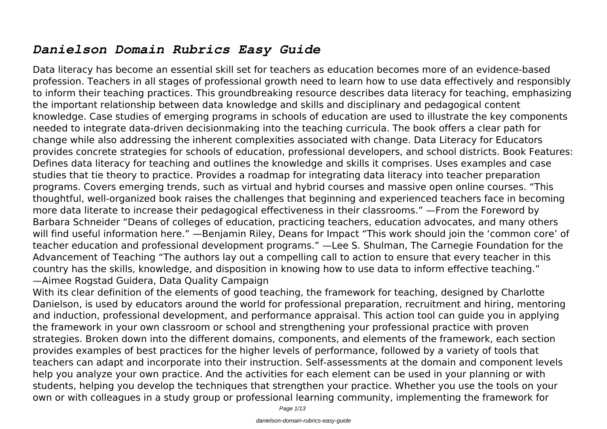## *Danielson Domain Rubrics Easy Guide*

Data literacy has become an essential skill set for teachers as education becomes more of an evidence-based profession. Teachers in all stages of professional growth need to learn how to use data effectively and responsibly to inform their teaching practices. This groundbreaking resource describes data literacy for teaching, emphasizing the important relationship between data knowledge and skills and disciplinary and pedagogical content knowledge. Case studies of emerging programs in schools of education are used to illustrate the key components needed to integrate data-driven decisionmaking into the teaching curricula. The book offers a clear path for change while also addressing the inherent complexities associated with change. Data Literacy for Educators provides concrete strategies for schools of education, professional developers, and school districts. Book Features: Defines data literacy for teaching and outlines the knowledge and skills it comprises. Uses examples and case studies that tie theory to practice. Provides a roadmap for integrating data literacy into teacher preparation programs. Covers emerging trends, such as virtual and hybrid courses and massive open online courses. "This thoughtful, well-organized book raises the challenges that beginning and experienced teachers face in becoming more data literate to increase their pedagogical effectiveness in their classrooms." —From the Foreword by Barbara Schneider "Deans of colleges of education, practicing teachers, education advocates, and many others will find useful information here." —Benjamin Riley, Deans for Impact "This work should join the 'common core' of teacher education and professional development programs." —Lee S. Shulman, The Carnegie Foundation for the Advancement of Teaching "The authors lay out a compelling call to action to ensure that every teacher in this country has the skills, knowledge, and disposition in knowing how to use data to inform effective teaching." —Aimee Rogstad Guidera, Data Quality Campaign

With its clear definition of the elements of good teaching, the framework for teaching, designed by Charlotte Danielson, is used by educators around the world for professional preparation, recruitment and hiring, mentoring and induction, professional development, and performance appraisal. This action tool can guide you in applying the framework in your own classroom or school and strengthening your professional practice with proven strategies. Broken down into the different domains, components, and elements of the framework, each section provides examples of best practices for the higher levels of performance, followed by a variety of tools that teachers can adapt and incorporate into their instruction. Self-assessments at the domain and component levels help you analyze your own practice. And the activities for each element can be used in your planning or with students, helping you develop the techniques that strengthen your practice. Whether you use the tools on your own or with colleagues in a study group or professional learning community, implementing the framework for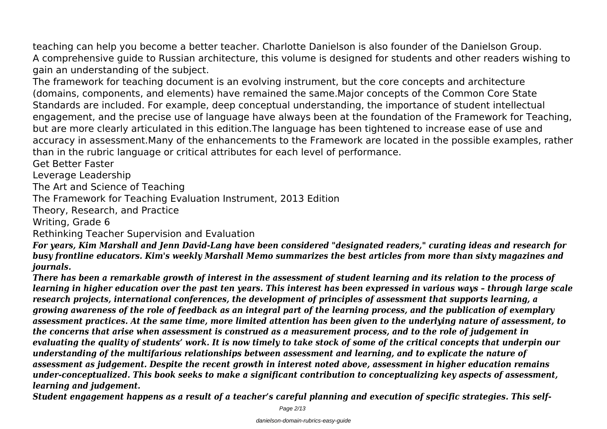teaching can help you become a better teacher. Charlotte Danielson is also founder of the Danielson Group. A comprehensive guide to Russian architecture, this volume is designed for students and other readers wishing to gain an understanding of the subject.

The framework for teaching document is an evolving instrument, but the core concepts and architecture (domains, components, and elements) have remained the same.Major concepts of the Common Core State Standards are included. For example, deep conceptual understanding, the importance of student intellectual engagement, and the precise use of language have always been at the foundation of the Framework for Teaching, but are more clearly articulated in this edition.The language has been tightened to increase ease of use and accuracy in assessment.Many of the enhancements to the Framework are located in the possible examples, rather than in the rubric language or critical attributes for each level of performance.

Get Better Faster

Leverage Leadership

The Art and Science of Teaching

The Framework for Teaching Evaluation Instrument, 2013 Edition

Theory, Research, and Practice

Writing, Grade 6

Rethinking Teacher Supervision and Evaluation

*For years, Kim Marshall and Jenn David-Lang have been considered "designated readers," curating ideas and research for busy frontline educators. Kim's weekly Marshall Memo summarizes the best articles from more than sixty magazines and journals.*

*There has been a remarkable growth of interest in the assessment of student learning and its relation to the process of learning in higher education over the past ten years. This interest has been expressed in various ways – through large scale research projects, international conferences, the development of principles of assessment that supports learning, a growing awareness of the role of feedback as an integral part of the learning process, and the publication of exemplary assessment practices. At the same time, more limited attention has been given to the underlying nature of assessment, to the concerns that arise when assessment is construed as a measurement process, and to the role of judgement in evaluating the quality of students' work. It is now timely to take stock of some of the critical concepts that underpin our understanding of the multifarious relationships between assessment and learning, and to explicate the nature of assessment as judgement. Despite the recent growth in interest noted above, assessment in higher education remains under-conceptualized. This book seeks to make a significant contribution to conceptualizing key aspects of assessment, learning and judgement.*

*Student engagement happens as a result of a teacher's careful planning and execution of specific strategies. This self-*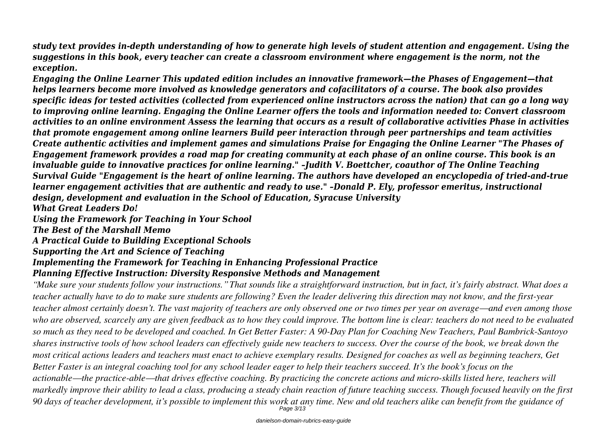*study text provides in-depth understanding of how to generate high levels of student attention and engagement. Using the suggestions in this book, every teacher can create a classroom environment where engagement is the norm, not the exception.*

*Engaging the Online Learner This updated edition includes an innovative framework—the Phases of Engagement—that helps learners become more involved as knowledge generators and cofacilitators of a course. The book also provides specific ideas for tested activities (collected from experienced online instructors across the nation) that can go a long way to improving online learning. Engaging the Online Learner offers the tools and information needed to: Convert classroom activities to an online environment Assess the learning that occurs as a result of collaborative activities Phase in activities that promote engagement among online learners Build peer interaction through peer partnerships and team activities Create authentic activities and implement games and simulations Praise for Engaging the Online Learner "The Phases of Engagement framework provides a road map for creating community at each phase of an online course. This book is an invaluable guide to innovative practices for online learning." –Judith V. Boettcher, coauthor of The Online Teaching Survival Guide "Engagement is the heart of online learning. The authors have developed an encyclopedia of tried-and-true learner engagement activities that are authentic and ready to use." –Donald P. Ely, professor emeritus, instructional design, development and evaluation in the School of Education, Syracuse University What Great Leaders Do!*

*Using the Framework for Teaching in Your School*

*The Best of the Marshall Memo*

*A Practical Guide to Building Exceptional Schools*

*Supporting the Art and Science of Teaching*

## *Implementing the Framework for Teaching in Enhancing Professional Practice*

## *Planning Effective Instruction: Diversity Responsive Methods and Management*

*"Make sure your students follow your instructions." That sounds like a straightforward instruction, but in fact, it's fairly abstract. What does a teacher actually have to do to make sure students are following? Even the leader delivering this direction may not know, and the first-year teacher almost certainly doesn't. The vast majority of teachers are only observed one or two times per year on average—and even among those who are observed, scarcely any are given feedback as to how they could improve. The bottom line is clear: teachers do not need to be evaluated so much as they need to be developed and coached. In Get Better Faster: A 90-Day Plan for Coaching New Teachers, Paul Bambrick-Santoyo shares instructive tools of how school leaders can effectively guide new teachers to success. Over the course of the book, we break down the most critical actions leaders and teachers must enact to achieve exemplary results. Designed for coaches as well as beginning teachers, Get Better Faster is an integral coaching tool for any school leader eager to help their teachers succeed. It's the book's focus on the actionable—the practice-able—that drives effective coaching. By practicing the concrete actions and micro-skills listed here, teachers will markedly improve their ability to lead a class, producing a steady chain reaction of future teaching success. Though focused heavily on the first 90 days of teacher development, it's possible to implement this work at any time. New and old teachers alike can benefit from the guidance of* Page 3/13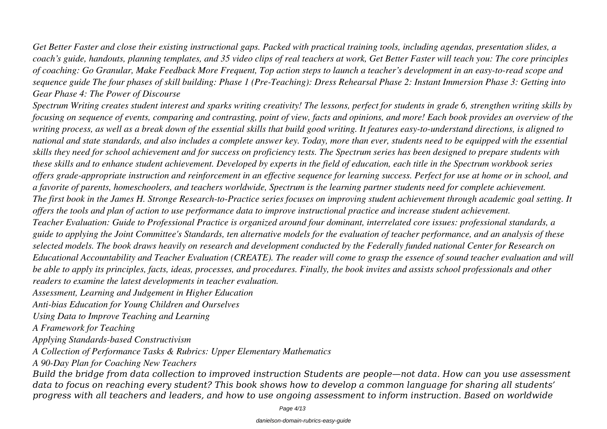*Get Better Faster and close their existing instructional gaps. Packed with practical training tools, including agendas, presentation slides, a coach's guide, handouts, planning templates, and 35 video clips of real teachers at work, Get Better Faster will teach you: The core principles of coaching: Go Granular, Make Feedback More Frequent, Top action steps to launch a teacher's development in an easy-to-read scope and sequence guide The four phases of skill building: Phase 1 (Pre-Teaching): Dress Rehearsal Phase 2: Instant Immersion Phase 3: Getting into Gear Phase 4: The Power of Discourse*

*Spectrum Writing creates student interest and sparks writing creativity! The lessons, perfect for students in grade 6, strengthen writing skills by focusing on sequence of events, comparing and contrasting, point of view, facts and opinions, and more! Each book provides an overview of the writing process, as well as a break down of the essential skills that build good writing. It features easy-to-understand directions, is aligned to national and state standards, and also includes a complete answer key. Today, more than ever, students need to be equipped with the essential skills they need for school achievement and for success on proficiency tests. The Spectrum series has been designed to prepare students with these skills and to enhance student achievement. Developed by experts in the field of education, each title in the Spectrum workbook series offers grade-appropriate instruction and reinforcement in an effective sequence for learning success. Perfect for use at home or in school, and a favorite of parents, homeschoolers, and teachers worldwide, Spectrum is the learning partner students need for complete achievement. The first book in the James H. Stronge Research-to-Practice series focuses on improving student achievement through academic goal setting. It offers the tools and plan of action to use performance data to improve instructional practice and increase student achievement. Teacher Evaluation: Guide to Professional Practice is organized around four dominant, interrelated core issues: professional standards, a*

*guide to applying the Joint Committee's Standards, ten alternative models for the evaluation of teacher performance, and an analysis of these selected models. The book draws heavily on research and development conducted by the Federally funded national Center for Research on Educational Accountability and Teacher Evaluation (CREATE). The reader will come to grasp the essence of sound teacher evaluation and will be able to apply its principles, facts, ideas, processes, and procedures. Finally, the book invites and assists school professionals and other readers to examine the latest developments in teacher evaluation.*

*Assessment, Learning and Judgement in Higher Education*

*Anti-bias Education for Young Children and Ourselves*

*Using Data to Improve Teaching and Learning*

*A Framework for Teaching*

*Applying Standards-based Constructivism*

*A Collection of Performance Tasks & Rubrics: Upper Elementary Mathematics*

*A 90-Day Plan for Coaching New Teachers*

*Build the bridge from data collection to improved instruction Students are people—not data. How can you use assessment data to focus on reaching every student? This book shows how to develop a common language for sharing all students' progress with all teachers and leaders, and how to use ongoing assessment to inform instruction. Based on worldwide*

Page 4/13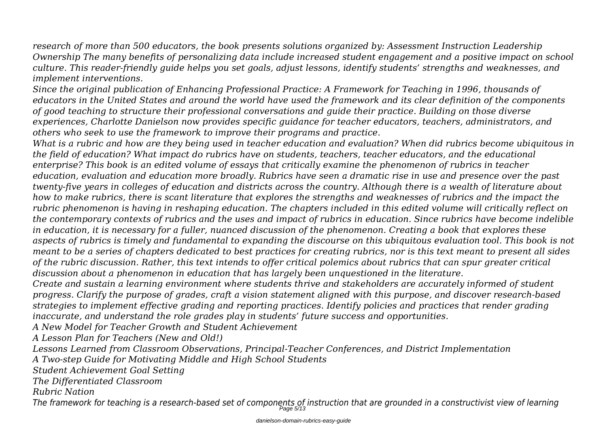*research of more than 500 educators, the book presents solutions organized by: Assessment Instruction Leadership Ownership The many benefits of personalizing data include increased student engagement and a positive impact on school culture. This reader-friendly guide helps you set goals, adjust lessons, identify students' strengths and weaknesses, and implement interventions.*

*Since the original publication of Enhancing Professional Practice: A Framework for Teaching in 1996, thousands of educators in the United States and around the world have used the framework and its clear definition of the components of good teaching to structure their professional conversations and guide their practice. Building on those diverse experiences, Charlotte Danielson now provides specific guidance for teacher educators, teachers, administrators, and others who seek to use the framework to improve their programs and practice.*

*What is a rubric and how are they being used in teacher education and evaluation? When did rubrics become ubiquitous in the field of education? What impact do rubrics have on students, teachers, teacher educators, and the educational enterprise? This book is an edited volume of essays that critically examine the phenomenon of rubrics in teacher education, evaluation and education more broadly. Rubrics have seen a dramatic rise in use and presence over the past twenty-five years in colleges of education and districts across the country. Although there is a wealth of literature about how to make rubrics, there is scant literature that explores the strengths and weaknesses of rubrics and the impact the rubric phenomenon is having in reshaping education. The chapters included in this edited volume will critically reflect on the contemporary contexts of rubrics and the uses and impact of rubrics in education. Since rubrics have become indelible in education, it is necessary for a fuller, nuanced discussion of the phenomenon. Creating a book that explores these aspects of rubrics is timely and fundamental to expanding the discourse on this ubiquitous evaluation tool. This book is not meant to be a series of chapters dedicated to best practices for creating rubrics, nor is this text meant to present all sides of the rubric discussion. Rather, this text intends to offer critical polemics about rubrics that can spur greater critical discussion about a phenomenon in education that has largely been unquestioned in the literature.*

*Create and sustain a learning environment where students thrive and stakeholders are accurately informed of student progress. Clarify the purpose of grades, craft a vision statement aligned with this purpose, and discover research-based strategies to implement effective grading and reporting practices. Identify policies and practices that render grading inaccurate, and understand the role grades play in students' future success and opportunities.*

*A New Model for Teacher Growth and Student Achievement*

*A Lesson Plan for Teachers (New and Old!)*

*Lessons Learned from Classroom Observations, Principal-Teacher Conferences, and District Implementation*

*A Two-step Guide for Motivating Middle and High School Students*

*Student Achievement Goal Setting*

*The Differentiated Classroom*

*Rubric Nation*

*The framework for teaching is a research-based set of components of instruction that are grounded in a constructivist view of learning* Page 5/13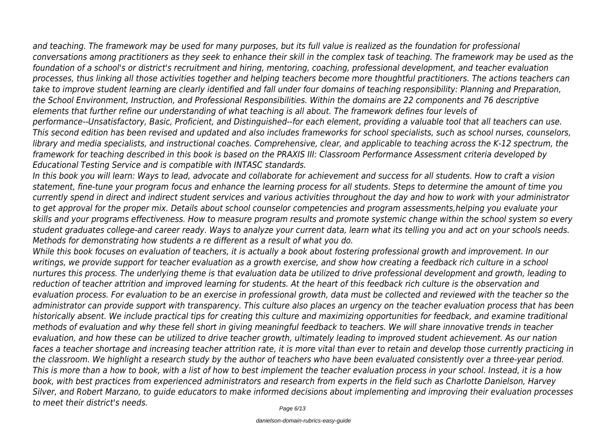*and teaching. The framework may be used for many purposes, but its full value is realized as the foundation for professional*

*conversations among practitioners as they seek to enhance their skill in the complex task of teaching. The framework may be used as the foundation of a school's or district's recruitment and hiring, mentoring, coaching, professional development, and teacher evaluation processes, thus linking all those activities together and helping teachers become more thoughtful practitioners. The actions teachers can take to improve student learning are clearly identified and fall under four domains of teaching responsibility: Planning and Preparation, the School Environment, Instruction, and Professional Responsibilities. Within the domains are 22 components and 76 descriptive elements that further refine our understanding of what teaching is all about. The framework defines four levels of performance--Unsatisfactory, Basic, Proficient, and Distinguished--for each element, providing a valuable tool that all teachers can use. This second edition has been revised and updated and also includes frameworks for school specialists, such as school nurses, counselors, library and media specialists, and instructional coaches. Comprehensive, clear, and applicable to teaching across the K-12 spectrum, the framework for teaching described in this book is based on the PRAXIS III: Classroom Performance Assessment criteria developed by Educational Testing Service and is compatible with INTASC standards.*

*In this book you will learn: Ways to lead, advocate and collaborate for achievement and success for all students. How to craft a vision statement, fine-tune your program focus and enhance the learning process for all students. Steps to determine the amount of time you currently spend in direct and indirect student services and various activities throughout the day and how to work with your administrator to get approval for the proper mix. Details about school counselor competencies and program assessments,helping you evaluate your skills and your programs effectiveness. How to measure program results and promote systemic change within the school system so every student graduates college-and career ready. Ways to analyze your current data, learn what its telling you and act on your schools needs. Methods for demonstrating how students a re different as a result of what you do.*

*While this book focuses on evaluation of teachers, it is actually a book about fostering professional growth and improvement. In our writings, we provide support for teacher evaluation as a growth exercise, and show how creating a feedback rich culture in a school nurtures this process. The underlying theme is that evaluation data be utilized to drive professional development and growth, leading to reduction of teacher attrition and improved learning for students. At the heart of this feedback rich culture is the observation and evaluation process. For evaluation to be an exercise in professional growth, data must be collected and reviewed with the teacher so the administrator can provide support with transparency. This culture also places an urgency on the teacher evaluation process that has been historically absent. We include practical tips for creating this culture and maximizing opportunities for feedback, and examine traditional methods of evaluation and why these fell short in giving meaningful feedback to teachers. We will share innovative trends in teacher evaluation, and how these can be utilized to drive teacher growth, ultimately leading to improved student achievement. As our nation faces a teacher shortage and increasing teacher attrition rate, it is more vital than ever to retain and develop those currently practicing in the classroom. We highlight a research study by the author of teachers who have been evaluated consistently over a three-year period. This is more than a how to book, with a list of how to best implement the teacher evaluation process in your school. Instead, it is a how book, with best practices from experienced administrators and research from experts in the field such as Charlotte Danielson, Harvey Silver, and Robert Marzano, to guide educators to make informed decisions about implementing and improving their evaluation processes to meet their district's needs.*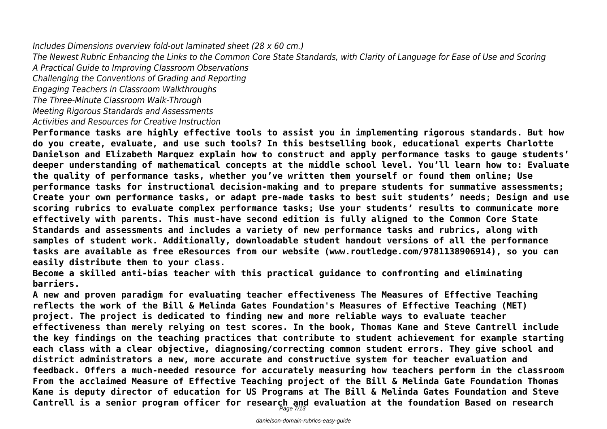*Includes Dimensions overview fold-out laminated sheet (28 x 60 cm.)*

*The Newest Rubric Enhancing the Links to the Common Core State Standards, with Clarity of Language for Ease of Use and Scoring*

*A Practical Guide to Improving Classroom Observations*

*Challenging the Conventions of Grading and Reporting*

*Engaging Teachers in Classroom Walkthroughs*

*The Three-Minute Classroom Walk-Through*

*Meeting Rigorous Standards and Assessments*

*Activities and Resources for Creative Instruction*

**Performance tasks are highly effective tools to assist you in implementing rigorous standards. But how do you create, evaluate, and use such tools? In this bestselling book, educational experts Charlotte Danielson and Elizabeth Marquez explain how to construct and apply performance tasks to gauge students' deeper understanding of mathematical concepts at the middle school level. You'll learn how to: Evaluate the quality of performance tasks, whether you've written them yourself or found them online; Use performance tasks for instructional decision-making and to prepare students for summative assessments; Create your own performance tasks, or adapt pre-made tasks to best suit students' needs; Design and use scoring rubrics to evaluate complex performance tasks; Use your students' results to communicate more effectively with parents. This must-have second edition is fully aligned to the Common Core State Standards and assessments and includes a variety of new performance tasks and rubrics, along with samples of student work. Additionally, downloadable student handout versions of all the performance tasks are available as free eResources from our website (www.routledge.com/9781138906914), so you can easily distribute them to your class.**

**Become a skilled anti-bias teacher with this practical guidance to confronting and eliminating barriers.**

**A new and proven paradigm for evaluating teacher effectiveness The Measures of Effective Teaching reflects the work of the Bill & Melinda Gates Foundation's Measures of Effective Teaching (MET) project. The project is dedicated to finding new and more reliable ways to evaluate teacher effectiveness than merely relying on test scores. In the book, Thomas Kane and Steve Cantrell include the key findings on the teaching practices that contribute to student achievement for example starting each class with a clear objective, diagnosing/correcting common student errors. They give school and district administrators a new, more accurate and constructive system for teacher evaluation and feedback. Offers a much-needed resource for accurately measuring how teachers perform in the classroom From the acclaimed Measure of Effective Teaching project of the Bill & Melinda Gate Foundation Thomas Kane is deputy director of education for US Programs at The Bill & Melinda Gates Foundation and Steve Cantrell is a senior program officer for research and evaluation at the foundation Based on research** Page 7/13

danielson-domain-rubrics-easy-guide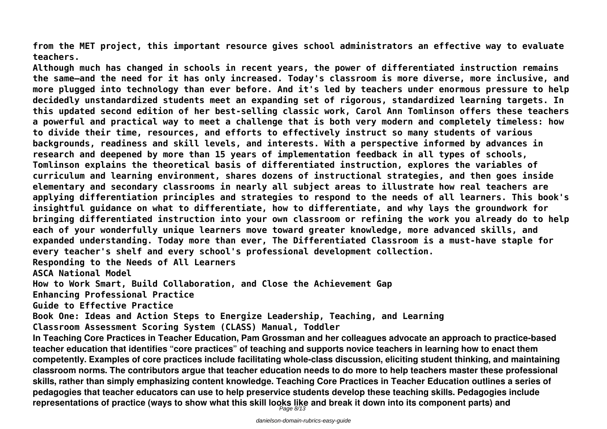**from the MET project, this important resource gives school administrators an effective way to evaluate teachers.**

**Although much has changed in schools in recent years, the power of differentiated instruction remains the same—and the need for it has only increased. Today's classroom is more diverse, more inclusive, and more plugged into technology than ever before. And it's led by teachers under enormous pressure to help decidedly unstandardized students meet an expanding set of rigorous, standardized learning targets. In this updated second edition of her best-selling classic work, Carol Ann Tomlinson offers these teachers a powerful and practical way to meet a challenge that is both very modern and completely timeless: how to divide their time, resources, and efforts to effectively instruct so many students of various backgrounds, readiness and skill levels, and interests. With a perspective informed by advances in research and deepened by more than 15 years of implementation feedback in all types of schools, Tomlinson explains the theoretical basis of differentiated instruction, explores the variables of curriculum and learning environment, shares dozens of instructional strategies, and then goes inside elementary and secondary classrooms in nearly all subject areas to illustrate how real teachers are applying differentiation principles and strategies to respond to the needs of all learners. This book's insightful guidance on what to differentiate, how to differentiate, and why lays the groundwork for bringing differentiated instruction into your own classroom or refining the work you already do to help each of your wonderfully unique learners move toward greater knowledge, more advanced skills, and expanded understanding. Today more than ever, The Differentiated Classroom is a must-have staple for every teacher's shelf and every school's professional development collection. Responding to the Needs of All Learners ASCA National Model How to Work Smart, Build Collaboration, and Close the Achievement Gap Enhancing Professional Practice Guide to Effective Practice Book One: Ideas and Action Steps to Energize Leadership, Teaching, and Learning Classroom Assessment Scoring System (CLASS) Manual, Toddler In Teaching Core Practices in Teacher Education, Pam Grossman and her colleagues advocate an approach to practice-based teacher education that identifies "core practices" of teaching and supports novice teachers in learning how to enact them competently. Examples of core practices include facilitating whole-class discussion, eliciting student thinking, and maintaining classroom norms. The contributors argue that teacher education needs to do more to help teachers master these professional**

**skills, rather than simply emphasizing content knowledge. Teaching Core Practices in Teacher Education outlines a series of pedagogies that teacher educators can use to help preservice students develop these teaching skills. Pedagogies include representations of practice (ways to show what this skill looks like and break it down into its component parts) and** Page 8/13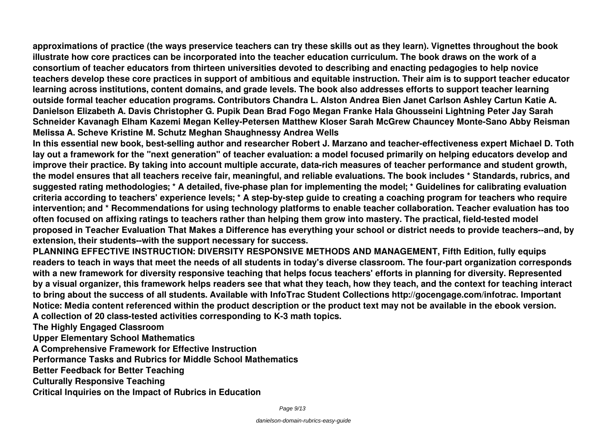**approximations of practice (the ways preservice teachers can try these skills out as they learn). Vignettes throughout the book illustrate how core practices can be incorporated into the teacher education curriculum. The book draws on the work of a consortium of teacher educators from thirteen universities devoted to describing and enacting pedagogies to help novice teachers develop these core practices in support of ambitious and equitable instruction. Their aim is to support teacher educator learning across institutions, content domains, and grade levels. The book also addresses efforts to support teacher learning outside formal teacher education programs. Contributors Chandra L. Alston Andrea Bien Janet Carlson Ashley Cartun Katie A. Danielson Elizabeth A. Davis Christopher G. Pupik Dean Brad Fogo Megan Franke Hala Ghousseini Lightning Peter Jay Sarah Schneider Kavanagh Elham Kazemi Megan Kelley-Petersen Matthew Kloser Sarah McGrew Chauncey Monte-Sano Abby Reisman Melissa A. Scheve Kristine M. Schutz Meghan Shaughnessy Andrea Wells**

**In this essential new book, best-selling author and researcher Robert J. Marzano and teacher-effectiveness expert Michael D. Toth lay out a framework for the "next generation" of teacher evaluation: a model focused primarily on helping educators develop and improve their practice. By taking into account multiple accurate, data-rich measures of teacher performance and student growth, the model ensures that all teachers receive fair, meaningful, and reliable evaluations. The book includes \* Standards, rubrics, and suggested rating methodologies; \* A detailed, five-phase plan for implementing the model; \* Guidelines for calibrating evaluation criteria according to teachers' experience levels; \* A step-by-step guide to creating a coaching program for teachers who require intervention; and \* Recommendations for using technology platforms to enable teacher collaboration. Teacher evaluation has too often focused on affixing ratings to teachers rather than helping them grow into mastery. The practical, field-tested model proposed in Teacher Evaluation That Makes a Difference has everything your school or district needs to provide teachers--and, by extension, their students--with the support necessary for success.**

**PLANNING EFFECTIVE INSTRUCTION: DIVERSITY RESPONSIVE METHODS AND MANAGEMENT, Fifth Edition, fully equips readers to teach in ways that meet the needs of all students in today's diverse classroom. The four-part organization corresponds with a new framework for diversity responsive teaching that helps focus teachers' efforts in planning for diversity. Represented by a visual organizer, this framework helps readers see that what they teach, how they teach, and the context for teaching interact to bring about the success of all students. Available with InfoTrac Student Collections http://gocengage.com/infotrac. Important Notice: Media content referenced within the product description or the product text may not be available in the ebook version. A collection of 20 class-tested activities corresponding to K-3 math topics.**

**The Highly Engaged Classroom**

**Upper Elementary School Mathematics**

**A Comprehensive Framework for Effective Instruction**

**Performance Tasks and Rubrics for Middle School Mathematics**

**Better Feedback for Better Teaching**

**Culturally Responsive Teaching**

**Critical Inquiries on the Impact of Rubrics in Education**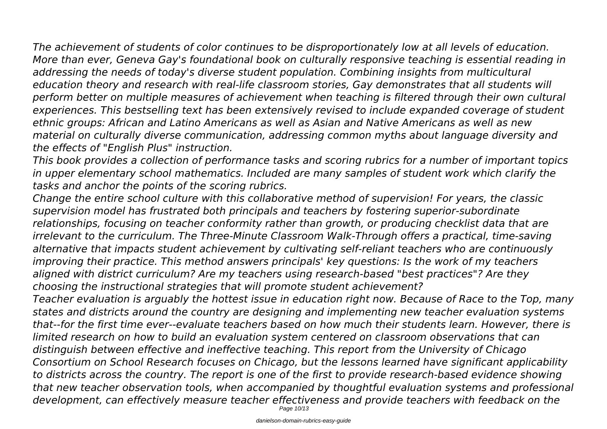*The achievement of students of color continues to be disproportionately low at all levels of education. More than ever, Geneva Gay's foundational book on culturally responsive teaching is essential reading in addressing the needs of today's diverse student population. Combining insights from multicultural education theory and research with real-life classroom stories, Gay demonstrates that all students will perform better on multiple measures of achievement when teaching is filtered through their own cultural experiences. This bestselling text has been extensively revised to include expanded coverage of student ethnic groups: African and Latino Americans as well as Asian and Native Americans as well as new material on culturally diverse communication, addressing common myths about language diversity and the effects of "English Plus" instruction.*

*This book provides a collection of performance tasks and scoring rubrics for a number of important topics in upper elementary school mathematics. Included are many samples of student work which clarify the tasks and anchor the points of the scoring rubrics.*

*Change the entire school culture with this collaborative method of supervision! For years, the classic supervision model has frustrated both principals and teachers by fostering superior-subordinate relationships, focusing on teacher conformity rather than growth, or producing checklist data that are irrelevant to the curriculum. The Three-Minute Classroom Walk-Through offers a practical, time-saving alternative that impacts student achievement by cultivating self-reliant teachers who are continuously improving their practice. This method answers principals' key questions: Is the work of my teachers aligned with district curriculum? Are my teachers using research-based "best practices"? Are they choosing the instructional strategies that will promote student achievement?*

*Teacher evaluation is arguably the hottest issue in education right now. Because of Race to the Top, many states and districts around the country are designing and implementing new teacher evaluation systems that--for the first time ever--evaluate teachers based on how much their students learn. However, there is limited research on how to build an evaluation system centered on classroom observations that can distinguish between effective and ineffective teaching. This report from the University of Chicago Consortium on School Research focuses on Chicago, but the lessons learned have significant applicability to districts across the country. The report is one of the first to provide research-based evidence showing that new teacher observation tools, when accompanied by thoughtful evaluation systems and professional development, can effectively measure teacher effectiveness and provide teachers with feedback on the*

Page 10/13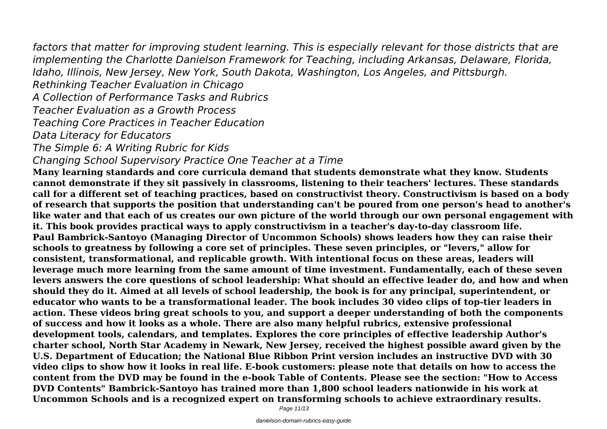*factors that matter for improving student learning. This is especially relevant for those districts that are implementing the Charlotte Danielson Framework for Teaching, including Arkansas, Delaware, Florida, Idaho, Illinois, New Jersey, New York, South Dakota, Washington, Los Angeles, and Pittsburgh.*

*Rethinking Teacher Evaluation in Chicago*

*A Collection of Performance Tasks and Rubrics*

*Teacher Evaluation as a Growth Process*

*Teaching Core Practices in Teacher Education*

*Data Literacy for Educators*

*The Simple 6: A Writing Rubric for Kids*

*Changing School Supervisory Practice One Teacher at a Time*

**Many learning standards and core curricula demand that students demonstrate what they know. Students cannot demonstrate if they sit passively in classrooms, listening to their teachers' lectures. These standards call for a different set of teaching practices, based on constructivist theory. Constructivism is based on a body of research that supports the position that understanding can't be poured from one person's head to another's like water and that each of us creates our own picture of the world through our own personal engagement with it. This book provides practical ways to apply constructivism in a teacher's day-to-day classroom life. Paul Bambrick-Santoyo (Managing Director of Uncommon Schools) shows leaders how they can raise their schools to greatness by following a core set of principles. These seven principles, or "levers," allow for consistent, transformational, and replicable growth. With intentional focus on these areas, leaders will leverage much more learning from the same amount of time investment. Fundamentally, each of these seven levers answers the core questions of school leadership: What should an effective leader do, and how and when should they do it. Aimed at all levels of school leadership, the book is for any principal, superintendent, or educator who wants to be a transformational leader. The book includes 30 video clips of top-tier leaders in action. These videos bring great schools to you, and support a deeper understanding of both the components of success and how it looks as a whole. There are also many helpful rubrics, extensive professional development tools, calendars, and templates. Explores the core principles of effective leadership Author's charter school, North Star Academy in Newark, New Jersey, received the highest possible award given by the U.S. Department of Education; the National Blue Ribbon Print version includes an instructive DVD with 30 video clips to show how it looks in real life. E-book customers: please note that details on how to access the content from the DVD may be found in the e-book Table of Contents. Please see the section: "How to Access DVD Contents" Bambrick-Santoyo has trained more than 1,800 school leaders nationwide in his work at Uncommon Schools and is a recognized expert on transforming schools to achieve extraordinary results.**

Page 11/13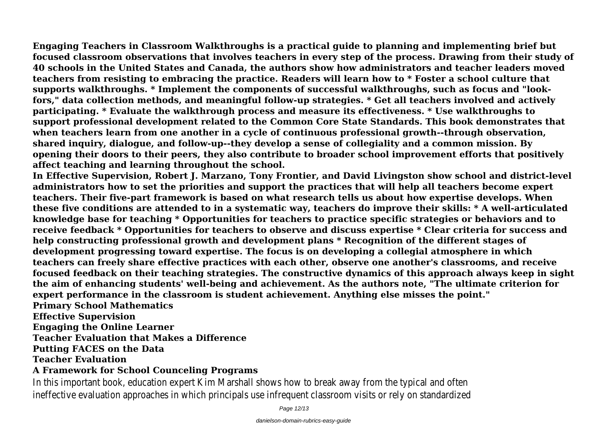**Engaging Teachers in Classroom Walkthroughs is a practical guide to planning and implementing brief but focused classroom observations that involves teachers in every step of the process. Drawing from their study of 40 schools in the United States and Canada, the authors show how administrators and teacher leaders moved teachers from resisting to embracing the practice. Readers will learn how to \* Foster a school culture that supports walkthroughs. \* Implement the components of successful walkthroughs, such as focus and "lookfors," data collection methods, and meaningful follow-up strategies. \* Get all teachers involved and actively participating. \* Evaluate the walkthrough process and measure its effectiveness. \* Use walkthroughs to support professional development related to the Common Core State Standards. This book demonstrates that when teachers learn from one another in a cycle of continuous professional growth--through observation, shared inquiry, dialogue, and follow-up--they develop a sense of collegiality and a common mission. By opening their doors to their peers, they also contribute to broader school improvement efforts that positively affect teaching and learning throughout the school.**

**In Effective Supervision, Robert J. Marzano, Tony Frontier, and David Livingston show school and district-level administrators how to set the priorities and support the practices that will help all teachers become expert teachers. Their five-part framework is based on what research tells us about how expertise develops. When these five conditions are attended to in a systematic way, teachers do improve their skills: \* A well-articulated knowledge base for teaching \* Opportunities for teachers to practice specific strategies or behaviors and to receive feedback \* Opportunities for teachers to observe and discuss expertise \* Clear criteria for success and help constructing professional growth and development plans \* Recognition of the different stages of development progressing toward expertise. The focus is on developing a collegial atmosphere in which teachers can freely share effective practices with each other, observe one another's classrooms, and receive focused feedback on their teaching strategies. The constructive dynamics of this approach always keep in sight the aim of enhancing students' well-being and achievement. As the authors note, "The ultimate criterion for expert performance in the classroom is student achievement. Anything else misses the point."**

**Primary School Mathematics Effective Supervision Engaging the Online Learner Teacher Evaluation that Makes a Difference**

**Putting FACES on the Data**

**Teacher Evaluation**

## **A Framework for School Counceling Programs**

In this important book, education expert Kim Marshall shows how to break away from the typical and of ineffective evaluation approaches in which principals use infrequent classroom visits or rely on standardi